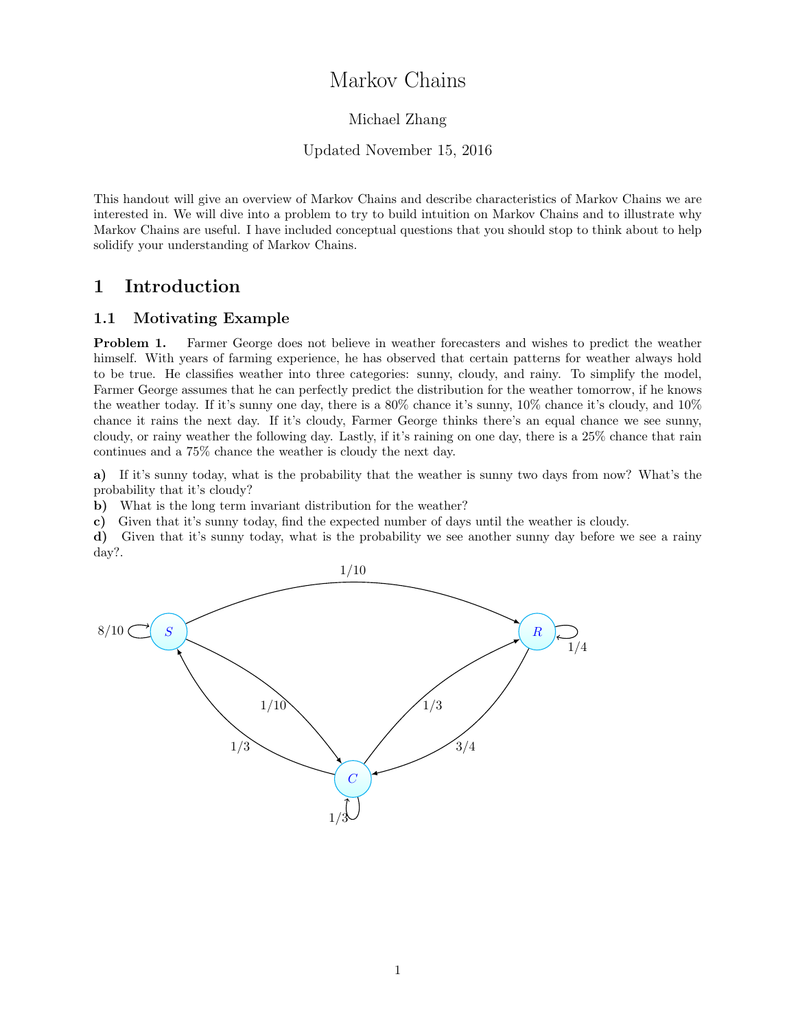# Markov Chains

### Michael Zhang

#### Updated November 15, 2016

This handout will give an overview of Markov Chains and describe characteristics of Markov Chains we are interested in. We will dive into a problem to try to build intuition on Markov Chains and to illustrate why Markov Chains are useful. I have included conceptual questions that you should stop to think about to help solidify your understanding of Markov Chains.

# 1 Introduction

#### 1.1 Motivating Example

Problem 1. Farmer George does not believe in weather forecasters and wishes to predict the weather himself. With years of farming experience, he has observed that certain patterns for weather always hold to be true. He classifies weather into three categories: sunny, cloudy, and rainy. To simplify the model, Farmer George assumes that he can perfectly predict the distribution for the weather tomorrow, if he knows the weather today. If it's sunny one day, there is a 80% chance it's sunny, 10% chance it's cloudy, and 10% chance it rains the next day. If it's cloudy, Farmer George thinks there's an equal chance we see sunny, cloudy, or rainy weather the following day. Lastly, if it's raining on one day, there is a 25% chance that rain continues and a 75% chance the weather is cloudy the next day.

a) If it's sunny today, what is the probability that the weather is sunny two days from now? What's the probability that it's cloudy?

b) What is the long term invariant distribution for the weather?

c) Given that it's sunny today, find the expected number of days until the weather is cloudy.

d) Given that it's sunny today, what is the probability we see another sunny day before we see a rainy day?.

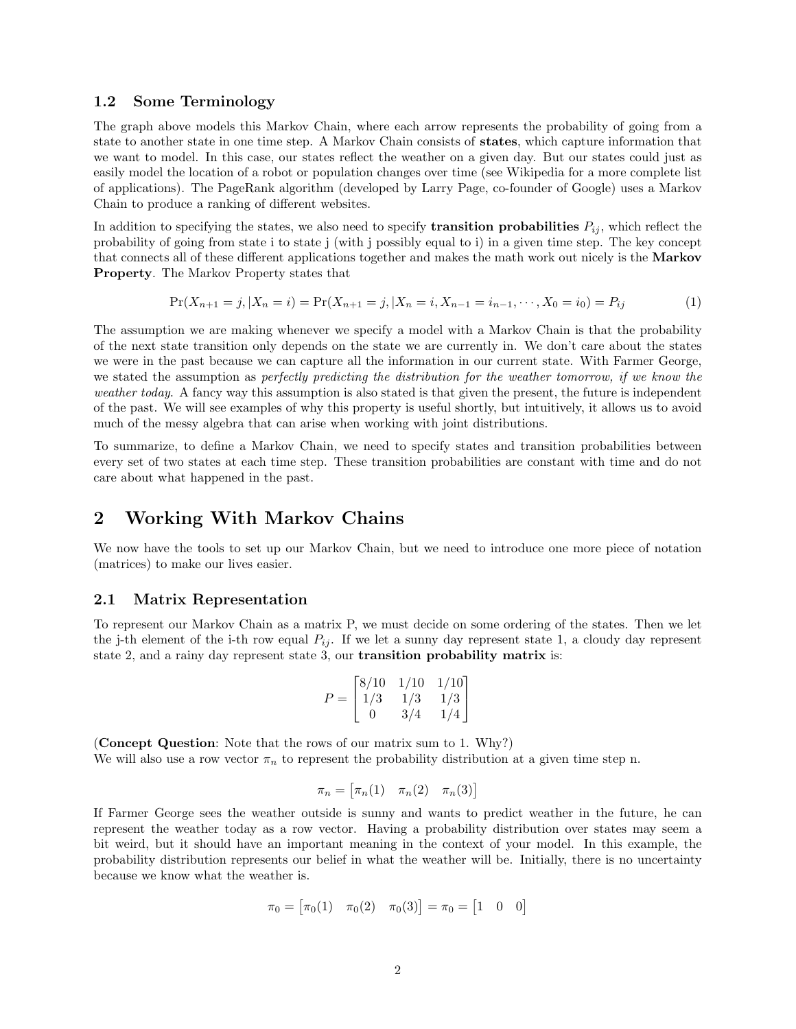#### 1.2 Some Terminology

The graph above models this Markov Chain, where each arrow represents the probability of going from a state to another state in one time step. A Markov Chain consists of states, which capture information that we want to model. In this case, our states reflect the weather on a given day. But our states could just as easily model the location of a robot or population changes over time (see Wikipedia for a more complete list of applications). The PageRank algorithm (developed by Larry Page, co-founder of Google) uses a Markov Chain to produce a ranking of different websites.

In addition to specifying the states, we also need to specify **transition probabilities**  $P_{ij}$ , which reflect the probability of going from state i to state j (with j possibly equal to i) in a given time step. The key concept that connects all of these different applications together and makes the math work out nicely is the Markov Property. The Markov Property states that

$$
\Pr(X_{n+1} = j, | X_n = i) = \Pr(X_{n+1} = j, | X_n = i, X_{n-1} = i_{n-1}, \cdots, X_0 = i_0) = P_{ij}
$$
\n(1)

The assumption we are making whenever we specify a model with a Markov Chain is that the probability of the next state transition only depends on the state we are currently in. We don't care about the states we were in the past because we can capture all the information in our current state. With Farmer George, we stated the assumption as perfectly predicting the distribution for the weather tomorrow, if we know the weather today. A fancy way this assumption is also stated is that given the present, the future is independent of the past. We will see examples of why this property is useful shortly, but intuitively, it allows us to avoid much of the messy algebra that can arise when working with joint distributions.

To summarize, to define a Markov Chain, we need to specify states and transition probabilities between every set of two states at each time step. These transition probabilities are constant with time and do not care about what happened in the past.

### 2 Working With Markov Chains

We now have the tools to set up our Markov Chain, but we need to introduce one more piece of notation (matrices) to make our lives easier.

#### 2.1 Matrix Representation

To represent our Markov Chain as a matrix P, we must decide on some ordering of the states. Then we let the j-th element of the i-th row equal  $P_{ij}$ . If we let a sunny day represent state 1, a cloudy day represent state 2, and a rainy day represent state 3, our transition probability matrix is:

$$
P = \begin{bmatrix} 8/10 & 1/10 & 1/10 \\ 1/3 & 1/3 & 1/3 \\ 0 & 3/4 & 1/4 \end{bmatrix}
$$

(Concept Question: Note that the rows of our matrix sum to 1. Why?) We will also use a row vector  $\pi_n$  to represent the probability distribution at a given time step n.

$$
\pi_n = \begin{bmatrix} \pi_n(1) & \pi_n(2) & \pi_n(3) \end{bmatrix}
$$

If Farmer George sees the weather outside is sunny and wants to predict weather in the future, he can represent the weather today as a row vector. Having a probability distribution over states may seem a bit weird, but it should have an important meaning in the context of your model. In this example, the probability distribution represents our belief in what the weather will be. Initially, there is no uncertainty because we know what the weather is.

$$
\pi_0 = [\pi_0(1) \quad \pi_0(2) \quad \pi_0(3)] = \pi_0 = [1 \quad 0 \quad 0]
$$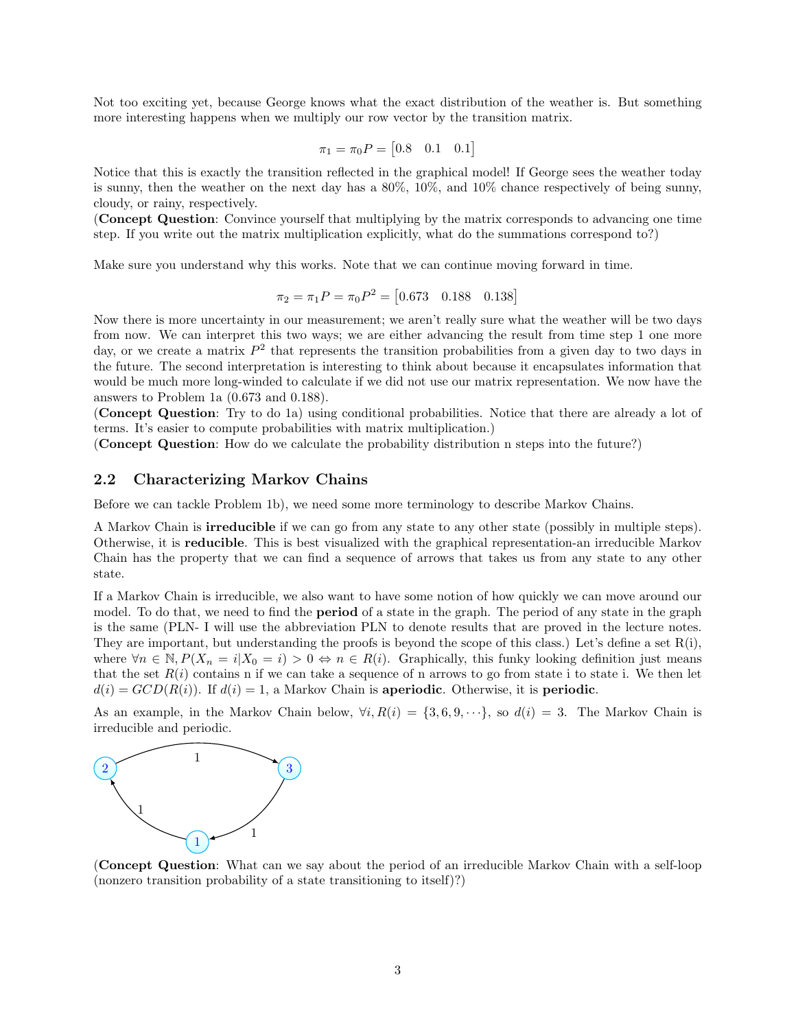Not too exciting yet, because George knows what the exact distribution of the weather is. But something more interesting happens when we multiply our row vector by the transition matrix.

$$
\pi_1 = \pi_0 P = \begin{bmatrix} 0.8 & 0.1 & 0.1 \end{bmatrix}
$$

Notice that this is exactly the transition reflected in the graphical model! If George sees the weather today is sunny, then the weather on the next day has a 80%, 10%, and 10% chance respectively of being sunny, cloudy, or rainy, respectively.

(Concept Question: Convince yourself that multiplying by the matrix corresponds to advancing one time step. If you write out the matrix multiplication explicitly, what do the summations correspond to?)

Make sure you understand why this works. Note that we can continue moving forward in time.

$$
\pi_2 = \pi_1 P = \pi_0 P^2 = [0.673 \quad 0.188 \quad 0.138]
$$

Now there is more uncertainty in our measurement; we aren't really sure what the weather will be two days from now. We can interpret this two ways; we are either advancing the result from time step 1 one more day, or we create a matrix  $P^2$  that represents the transition probabilities from a given day to two days in the future. The second interpretation is interesting to think about because it encapsulates information that would be much more long-winded to calculate if we did not use our matrix representation. We now have the answers to Problem 1a (0.673 and 0.188).

(Concept Question: Try to do 1a) using conditional probabilities. Notice that there are already a lot of terms. It's easier to compute probabilities with matrix multiplication.)

(Concept Question: How do we calculate the probability distribution n steps into the future?)

#### 2.2 Characterizing Markov Chains

Before we can tackle Problem 1b), we need some more terminology to describe Markov Chains.

A Markov Chain is irreducible if we can go from any state to any other state (possibly in multiple steps). Otherwise, it is reducible. This is best visualized with the graphical representation-an irreducible Markov Chain has the property that we can find a sequence of arrows that takes us from any state to any other state.

If a Markov Chain is irreducible, we also want to have some notion of how quickly we can move around our model. To do that, we need to find the **period** of a state in the graph. The period of any state in the graph is the same (PLN- I will use the abbreviation PLN to denote results that are proved in the lecture notes. They are important, but understanding the proofs is beyond the scope of this class.) Let's define a set  $R(i)$ , where  $\forall n \in \mathbb{N}, P(X_n = i | X_0 = i) > 0 \Leftrightarrow n \in R(i)$ . Graphically, this funky looking definition just means that the set  $R(i)$  contains n if we can take a sequence of n arrows to go from state i to state i. We then let  $d(i) = GCD(R(i))$ . If  $d(i) = 1$ , a Markov Chain is **aperiodic**. Otherwise, it is **periodic**.

As an example, in the Markov Chain below,  $\forall i, R(i) = \{3, 6, 9, \dots\}$ , so  $d(i) = 3$ . The Markov Chain is irreducible and periodic.



(Concept Question: What can we say about the period of an irreducible Markov Chain with a self-loop (nonzero transition probability of a state transitioning to itself)?)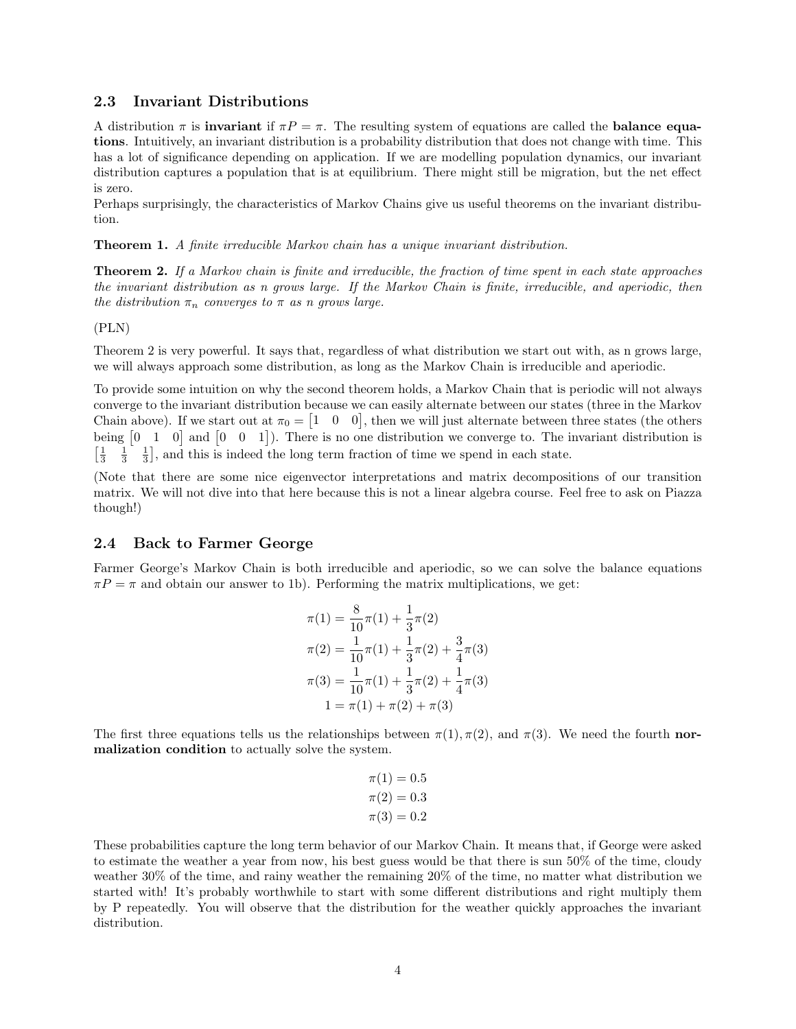#### 2.3 Invariant Distributions

A distribution  $\pi$  is **invariant** if  $\pi P = \pi$ . The resulting system of equations are called the **balance equa**tions. Intuitively, an invariant distribution is a probability distribution that does not change with time. This has a lot of significance depending on application. If we are modelling population dynamics, our invariant distribution captures a population that is at equilibrium. There might still be migration, but the net effect is zero.

Perhaps surprisingly, the characteristics of Markov Chains give us useful theorems on the invariant distribution.

Theorem 1. A finite irreducible Markov chain has a unique invariant distribution.

**Theorem 2.** If a Markov chain is finite and irreducible, the fraction of time spent in each state approaches the invariant distribution as n grows large. If the Markov Chain is finite, irreducible, and aperiodic, then the distribution  $\pi_n$  converges to  $\pi$  as n grows large.

(PLN)

Theorem 2 is very powerful. It says that, regardless of what distribution we start out with, as n grows large, we will always approach some distribution, as long as the Markov Chain is irreducible and aperiodic.

To provide some intuition on why the second theorem holds, a Markov Chain that is periodic will not always converge to the invariant distribution because we can easily alternate between our states (three in the Markov Chain above). If we start out at  $\pi_0 = \begin{bmatrix} 1 & 0 & 0 \end{bmatrix}$ , then we will just alternate between three states (the others being  $\begin{bmatrix} 0 & 1 & 0 \end{bmatrix}$  and  $\begin{bmatrix} 0 & 0 & 1 \end{bmatrix}$ . There is no one distribution we converge to. The invariant distribution is  $\left[\frac{1}{3}\right]$  $\frac{1}{3}$   $\frac{1}{3}$ , and this is indeed the long term fraction of time we spend in each state.

(Note that there are some nice eigenvector interpretations and matrix decompositions of our transition matrix. We will not dive into that here because this is not a linear algebra course. Feel free to ask on Piazza though!)

#### 2.4 Back to Farmer George

Farmer George's Markov Chain is both irreducible and aperiodic, so we can solve the balance equations  $\pi P = \pi$  and obtain our answer to 1b). Performing the matrix multiplications, we get:

$$
\pi(1) = \frac{8}{10}\pi(1) + \frac{1}{3}\pi(2)
$$

$$
\pi(2) = \frac{1}{10}\pi(1) + \frac{1}{3}\pi(2) + \frac{3}{4}\pi(3)
$$

$$
\pi(3) = \frac{1}{10}\pi(1) + \frac{1}{3}\pi(2) + \frac{1}{4}\pi(3)
$$

$$
1 = \pi(1) + \pi(2) + \pi(3)
$$

The first three equations tells us the relationships between  $\pi(1), \pi(2)$ , and  $\pi(3)$ . We need the fourth normalization condition to actually solve the system.

$$
\pi(1) = 0.5
$$
  

$$
\pi(2) = 0.3
$$
  

$$
\pi(3) = 0.2
$$

These probabilities capture the long term behavior of our Markov Chain. It means that, if George were asked to estimate the weather a year from now, his best guess would be that there is sun 50% of the time, cloudy weather 30% of the time, and rainy weather the remaining 20% of the time, no matter what distribution we started with! It's probably worthwhile to start with some different distributions and right multiply them by P repeatedly. You will observe that the distribution for the weather quickly approaches the invariant distribution.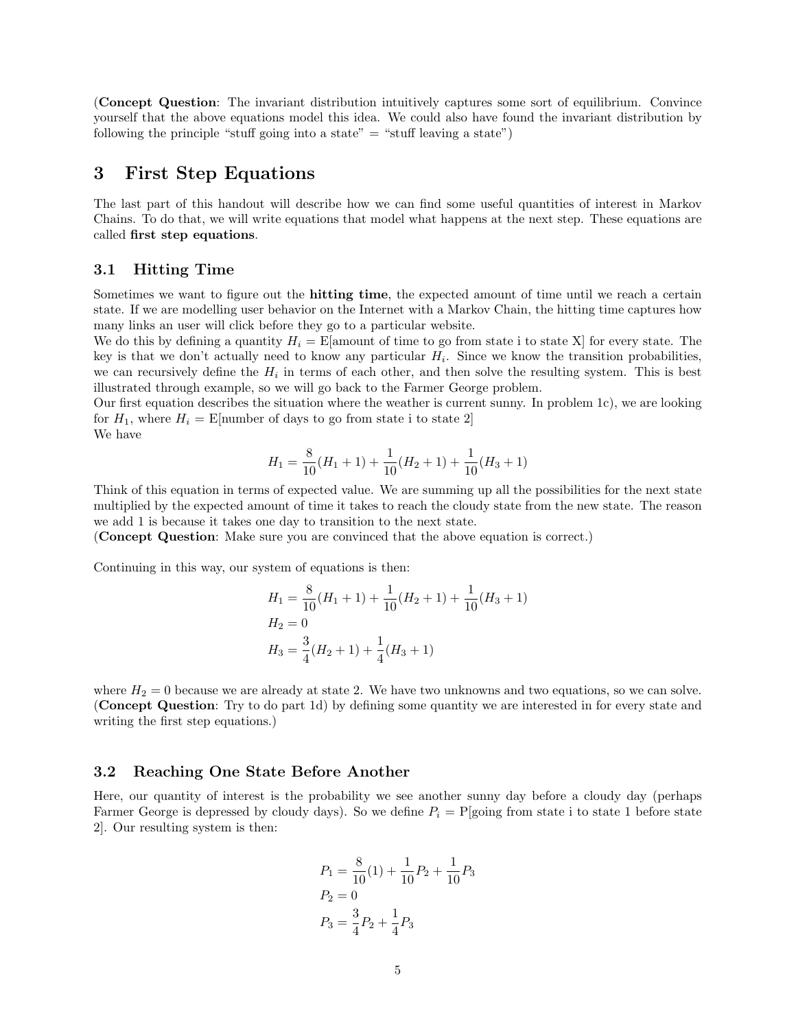(Concept Question: The invariant distribution intuitively captures some sort of equilibrium. Convince yourself that the above equations model this idea. We could also have found the invariant distribution by following the principle "stuff going into a state"  $=$  "stuff leaving a state")

## 3 First Step Equations

The last part of this handout will describe how we can find some useful quantities of interest in Markov Chains. To do that, we will write equations that model what happens at the next step. These equations are called first step equations.

#### 3.1 Hitting Time

Sometimes we want to figure out the **hitting time**, the expected amount of time until we reach a certain state. If we are modelling user behavior on the Internet with a Markov Chain, the hitting time captures how many links an user will click before they go to a particular website.

We do this by defining a quantity  $H_i = \text{E}$ [amount of time to go from state i to state X] for every state. The key is that we don't actually need to know any particular  $H_i$ . Since we know the transition probabilities, we can recursively define the  $H_i$  in terms of each other, and then solve the resulting system. This is best illustrated through example, so we will go back to the Farmer George problem.

Our first equation describes the situation where the weather is current sunny. In problem 1c), we are looking for  $H_1$ , where  $H_i =$  E[number of days to go from state i to state 2] We have

$$
H_1=\frac{8}{10}(H_1+1)+\frac{1}{10}(H_2+1)+\frac{1}{10}(H_3+1)
$$

Think of this equation in terms of expected value. We are summing up all the possibilities for the next state multiplied by the expected amount of time it takes to reach the cloudy state from the new state. The reason we add 1 is because it takes one day to transition to the next state.

(Concept Question: Make sure you are convinced that the above equation is correct.)

Continuing in this way, our system of equations is then:

$$
H_1 = \frac{8}{10}(H_1 + 1) + \frac{1}{10}(H_2 + 1) + \frac{1}{10}(H_3 + 1)
$$
  
\n
$$
H_2 = 0
$$
  
\n
$$
H_3 = \frac{3}{4}(H_2 + 1) + \frac{1}{4}(H_3 + 1)
$$

where  $H_2 = 0$  because we are already at state 2. We have two unknowns and two equations, so we can solve. (Concept Question: Try to do part 1d) by defining some quantity we are interested in for every state and writing the first step equations.)

#### 3.2 Reaching One State Before Another

Here, our quantity of interest is the probability we see another sunny day before a cloudy day (perhaps Farmer George is depressed by cloudy days). So we define  $P_i = P[\text{going from state i to state 1 before state}]$ 2]. Our resulting system is then:

$$
P_1 = \frac{8}{10}(1) + \frac{1}{10}P_2 + \frac{1}{10}P_3
$$
  

$$
P_2 = 0
$$
  

$$
P_3 = \frac{3}{4}P_2 + \frac{1}{4}P_3
$$